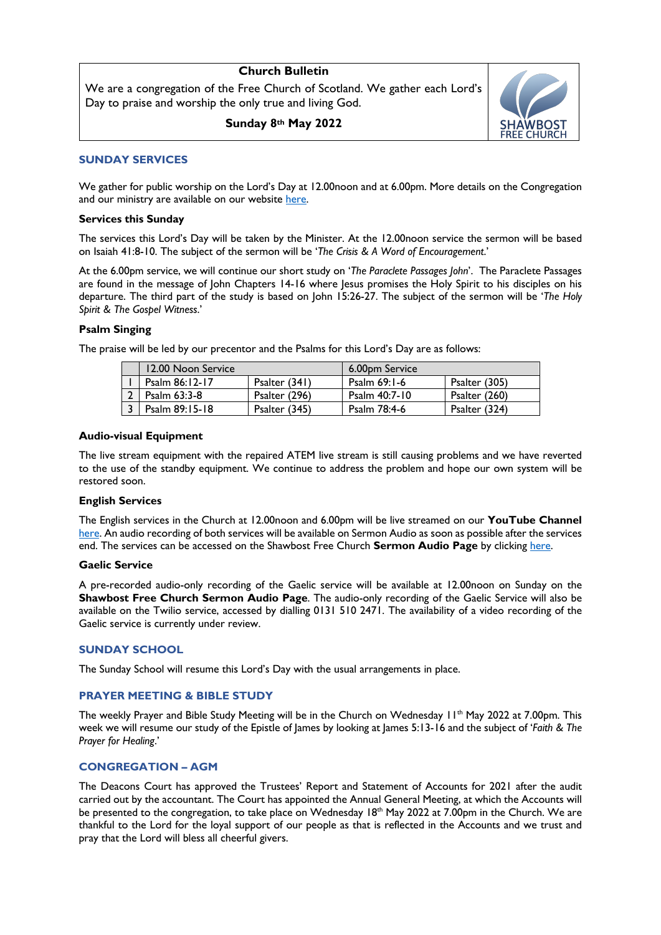# **Church Bulletin**

We are a congregation of the Free Church of Scotland. We gather each Lord's Day to praise and worship the only true and living God.

**Sunday 8th May 2022**



# **SUNDAY SERVICES**

We gather for public worship on the Lord's Day at 12.00noon and at 6.00pm. More details on the Congregation and our ministry are available on our website here.

## **Services this Sunday**

The services this Lord's Day will be taken by the Minister. At the 12.00noon service the sermon will be based on Isaiah 41:8-10. The subject of the sermon will be '*The Crisis & A Word of Encouragement*.'

At the 6.00pm service, we will continue our short study on '*The Paraclete Passages John*'. The Paraclete Passages are found in the message of John Chapters 14-16 where Jesus promises the Holy Spirit to his disciples on his departure. The third part of the study is based on John 15:26-27. The subject of the sermon will be '*The Holy Spirit & The Gospel Witness*.'

# **Psalm Singing**

The praise will be led by our precentor and the Psalms for this Lord's Day are as follows:

| 12.00 Noon Service |               | 6.00pm Service |               |
|--------------------|---------------|----------------|---------------|
| Psalm 86:12-17     | Psalter (341) | Psalm $69:1-6$ | Psalter (305) |
| Psalm 63:3-8       | Psalter (296) | Psalm 40:7-10  | Psalter (260) |
| Psalm 89:15-18     | Psalter (345) | Psalm 78:4-6   | Psalter (324) |

# **Audio-visual Equipment**

The live stream equipment with the repaired ATEM live stream is still causing problems and we have reverted to the use of the standby equipment. We continue to address the problem and hope our own system will be restored soon.

# **English Services**

The English services in the Church at 12.00noon and 6.00pm will be live streamed on our **YouTube Channel** here. An audio recording of both services will be available on Sermon Audio as soon as possible after the services end. The services can be accessed on the Shawbost Free Church **Sermon Audio Page** by clicking here.

# **Gaelic Service**

A pre-recorded audio-only recording of the Gaelic service will be available at 12.00noon on Sunday on the **Shawbost Free Church Sermon Audio Page**. The audio-only recording of the Gaelic Service will also be available on the Twilio service, accessed by dialling 0131 510 2471. The availability of a video recording of the Gaelic service is currently under review.

# **SUNDAY SCHOOL**

The Sunday School will resume this Lord's Day with the usual arrangements in place.

# **PRAYER MEETING & BIBLE STUDY**

The weekly Prayer and Bible Study Meeting will be in the Church on Wednesday II<sup>th</sup> May 2022 at 7.00pm. This week we will resume our study of the Epistle of James by looking at James 5:13-16 and the subject of '*Faith & The Prayer for Healing*.'

# **CONGREGATION – AGM**

The Deacons Court has approved the Trustees' Report and Statement of Accounts for 2021 after the audit carried out by the accountant. The Court has appointed the Annual General Meeting, at which the Accounts will be presented to the congregation, to take place on Wednesday 18<sup>th</sup> May 2022 at 7.00pm in the Church. We are thankful to the Lord for the loyal support of our people as that is reflected in the Accounts and we trust and pray that the Lord will bless all cheerful givers.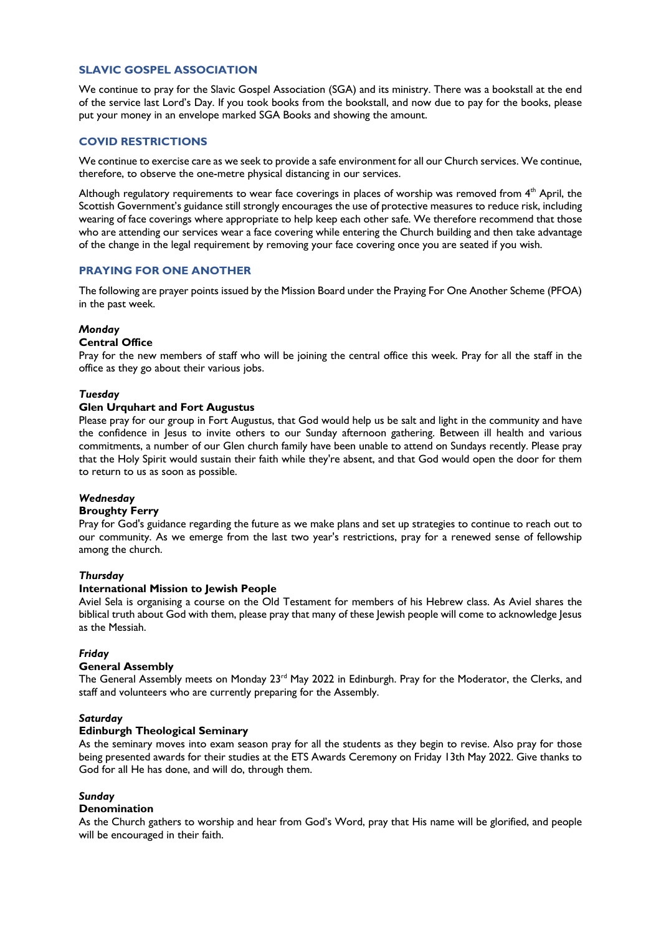# **SLAVIC GOSPEL ASSOCIATION**

We continue to pray for the Slavic Gospel Association (SGA) and its ministry. There was a bookstall at the end of the service last Lord's Day. If you took books from the bookstall, and now due to pay for the books, please put your money in an envelope marked SGA Books and showing the amount.

# **COVID RESTRICTIONS**

We continue to exercise care as we seek to provide a safe environment for all our Church services. We continue, therefore, to observe the one-metre physical distancing in our services.

Although regulatory requirements to wear face coverings in places of worship was removed from 4<sup>th</sup> April, the Scottish Government's guidance still strongly encourages the use of protective measures to reduce risk, including wearing of face coverings where appropriate to help keep each other safe. We therefore recommend that those who are attending our services wear a face covering while entering the Church building and then take advantage of the change in the legal requirement by removing your face covering once you are seated if you wish.

## **PRAYING FOR ONE ANOTHER**

The following are prayer points issued by the Mission Board under the Praying For One Another Scheme (PFOA) in the past week.

## *Monday*

## **Central Office**

Pray for the new members of staff who will be joining the central office this week. Pray for all the staff in the office as they go about their various jobs.

## *Tuesday*

# **Glen Urquhart and Fort Augustus**

Please pray for our group in Fort Augustus, that God would help us be salt and light in the community and have the confidence in Jesus to invite others to our Sunday afternoon gathering. Between ill health and various commitments, a number of our Glen church family have been unable to attend on Sundays recently. Please pray that the Holy Spirit would sustain their faith while they're absent, and that God would open the door for them to return to us as soon as possible.

### *Wednesday*

### **Broughty Ferry**

Pray for God's guidance regarding the future as we make plans and set up strategies to continue to reach out to our community. As we emerge from the last two year's restrictions, pray for a renewed sense of fellowship among the church.

### *Thursday*

### **International Mission to Jewish People**

Aviel Sela is organising a course on the Old Testament for members of his Hebrew class. As Aviel shares the biblical truth about God with them, please pray that many of these Jewish people will come to acknowledge Jesus as the Messiah.

### *Friday*

### **General Assembly**

The General Assembly meets on Monday  $23<sup>rd</sup>$  May 2022 in Edinburgh. Pray for the Moderator, the Clerks, and staff and volunteers who are currently preparing for the Assembly.

### *Saturday*

### **Edinburgh Theological Seminary**

As the seminary moves into exam season pray for all the students as they begin to revise. Also pray for those being presented awards for their studies at the ETS Awards Ceremony on Friday 13th May 2022. Give thanks to God for all He has done, and will do, through them.

### *Sunday*

## **Denomination**

As the Church gathers to worship and hear from God's Word, pray that His name will be glorified, and people will be encouraged in their faith.